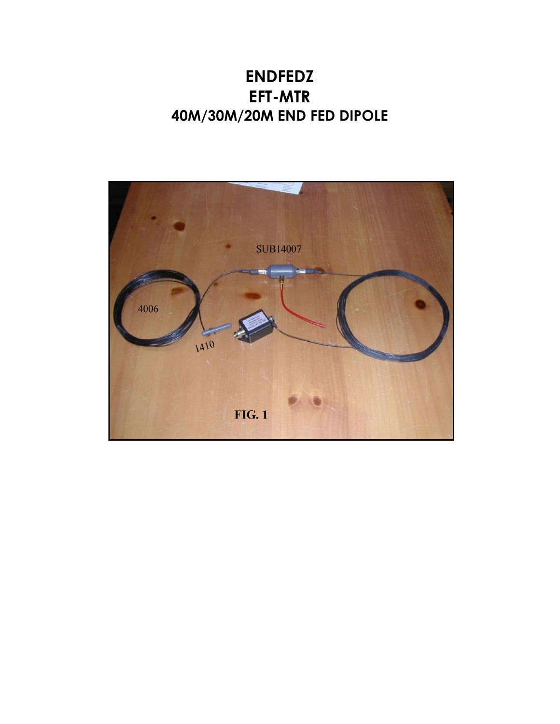## **ENDFEDZ EFT-MTR 40M/30M/20M END FED DIPOLE**

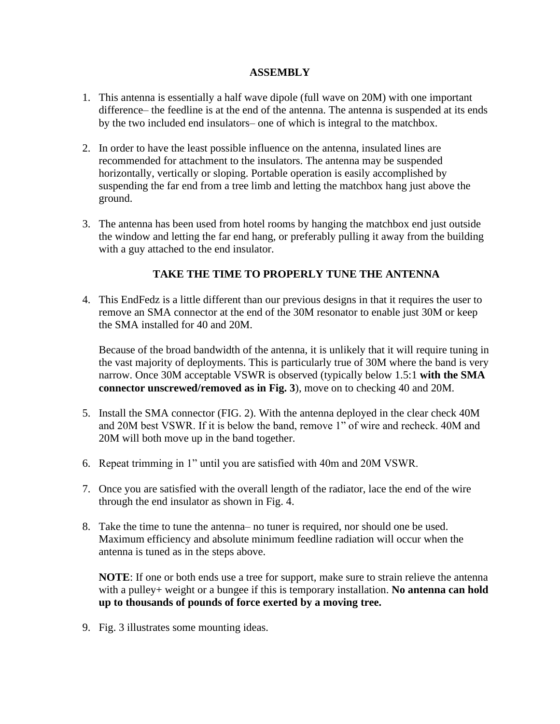## **ASSEMBLY**

- 1. This antenna is essentially a half wave dipole (full wave on 20M) with one important difference– the feedline is at the end of the antenna. The antenna is suspended at its ends by the two included end insulators– one of which is integral to the matchbox.
- 2. In order to have the least possible influence on the antenna, insulated lines are recommended for attachment to the insulators. The antenna may be suspended horizontally, vertically or sloping. Portable operation is easily accomplished by suspending the far end from a tree limb and letting the matchbox hang just above the ground.
- 3. The antenna has been used from hotel rooms by hanging the matchbox end just outside the window and letting the far end hang, or preferably pulling it away from the building with a guy attached to the end insulator.

## **TAKE THE TIME TO PROPERLY TUNE THE ANTENNA**

4. This EndFedz is a little different than our previous designs in that it requires the user to remove an SMA connector at the end of the 30M resonator to enable just 30M or keep the SMA installed for 40 and 20M.

Because of the broad bandwidth of the antenna, it is unlikely that it will require tuning in the vast majority of deployments. This is particularly true of 30M where the band is very narrow. Once 30M acceptable VSWR is observed (typically below 1.5:1 **with the SMA connector unscrewed/removed as in Fig. 3**), move on to checking 40 and 20M.

- 5. Install the SMA connector (FIG. 2). With the antenna deployed in the clear check 40M and 20M best VSWR. If it is below the band, remove 1" of wire and recheck. 40M and 20M will both move up in the band together.
- 6. Repeat trimming in 1" until you are satisfied with 40m and 20M VSWR.
- 7. Once you are satisfied with the overall length of the radiator, lace the end of the wire through the end insulator as shown in Fig. 4.
- 8. Take the time to tune the antenna– no tuner is required, nor should one be used. Maximum efficiency and absolute minimum feedline radiation will occur when the antenna is tuned as in the steps above.

**NOTE**: If one or both ends use a tree for support, make sure to strain relieve the antenna with a pulley+ weight or a bungee if this is temporary installation. **No antenna can hold up to thousands of pounds of force exerted by a moving tree.** 

9. Fig. 3 illustrates some mounting ideas.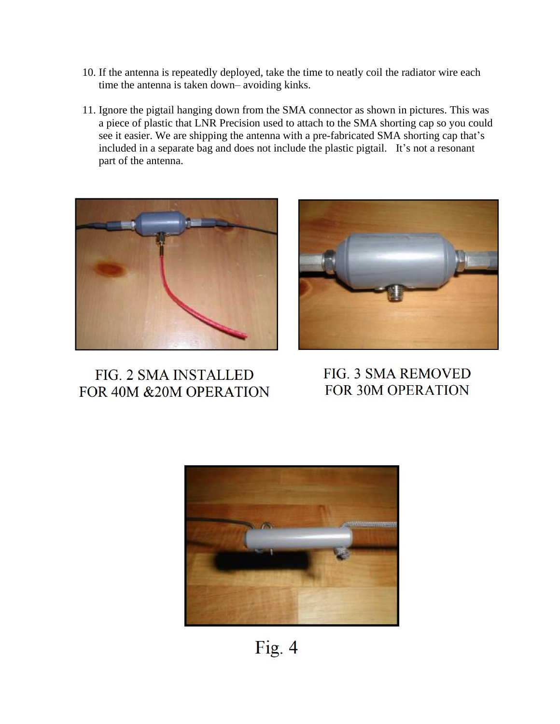- 10. If the antenna is repeatedly deployed, take the time to neatly coil the radiator wire each time the antenna is taken down– avoiding kinks.
- 11. Ignore the pigtail hanging down from the SMA connector as shown in pictures. This was a piece of plastic that LNR Precision used to attach to the SMA shorting cap so you could see it easier. We are shipping the antenna with a pre-fabricated SMA shorting cap that's included in a separate bag and does not include the plastic pigtail. It's not a resonant part of the antenna.



FIG. 2 SMA INSTALLED FOR 40M &20M OPERATION



FIG. 3 SMA REMOVED FOR 30M OPERATION



Fig. 4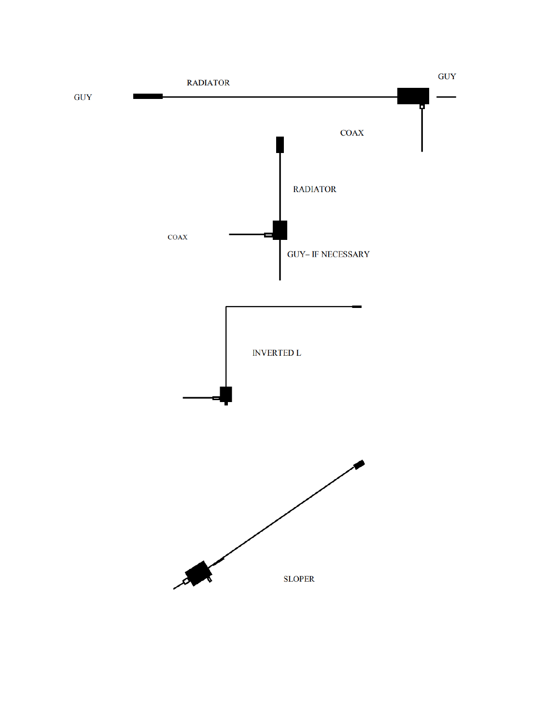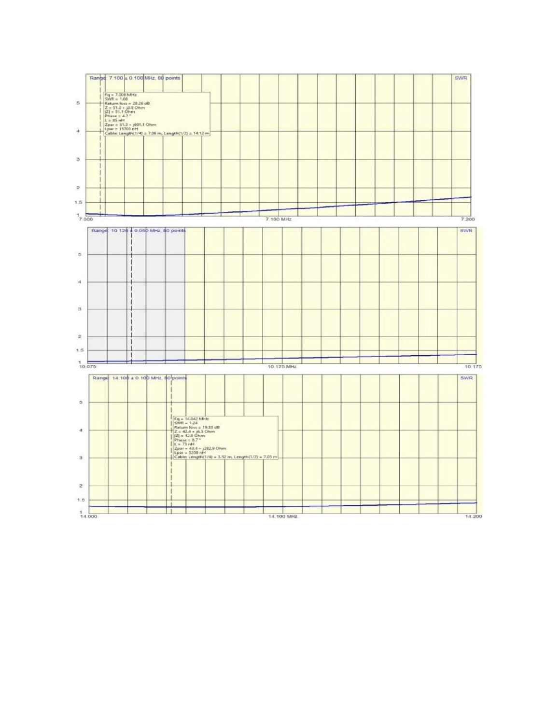